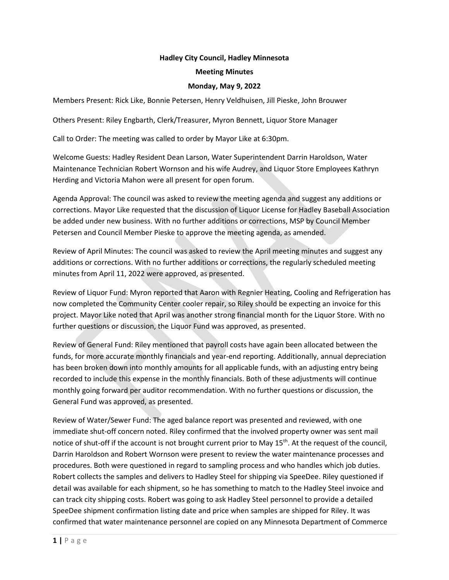## **Hadley City Council, Hadley Minnesota**

#### **Meeting Minutes**

### **Monday, May 9, 2022**

Members Present: Rick Like, Bonnie Petersen, Henry Veldhuisen, Jill Pieske, John Brouwer

Others Present: Riley Engbarth, Clerk/Treasurer, Myron Bennett, Liquor Store Manager

Call to Order: The meeting was called to order by Mayor Like at 6:30pm.

Welcome Guests: Hadley Resident Dean Larson, Water Superintendent Darrin Haroldson, Water Maintenance Technician Robert Wornson and his wife Audrey, and Liquor Store Employees Kathryn Herding and Victoria Mahon were all present for open forum.

Agenda Approval: The council was asked to review the meeting agenda and suggest any additions or corrections. Mayor Like requested that the discussion of Liquor License for Hadley Baseball Association be added under new business. With no further additions or corrections, MSP by Council Member Petersen and Council Member Pieske to approve the meeting agenda, as amended.

Review of April Minutes: The council was asked to review the April meeting minutes and suggest any additions or corrections. With no further additions or corrections, the regularly scheduled meeting minutes from April 11, 2022 were approved, as presented.

Review of Liquor Fund: Myron reported that Aaron with Regnier Heating, Cooling and Refrigeration has now completed the Community Center cooler repair, so Riley should be expecting an invoice for this project. Mayor Like noted that April was another strong financial month for the Liquor Store. With no further questions or discussion, the Liquor Fund was approved, as presented.

Review of General Fund: Riley mentioned that payroll costs have again been allocated between the funds, for more accurate monthly financials and year-end reporting. Additionally, annual depreciation has been broken down into monthly amounts for all applicable funds, with an adjusting entry being recorded to include this expense in the monthly financials. Both of these adjustments will continue monthly going forward per auditor recommendation. With no further questions or discussion, the General Fund was approved, as presented.

Review of Water/Sewer Fund: The aged balance report was presented and reviewed, with one immediate shut-off concern noted. Riley confirmed that the involved property owner was sent mail notice of shut-off if the account is not brought current prior to May 15<sup>th</sup>. At the request of the council, Darrin Haroldson and Robert Wornson were present to review the water maintenance processes and procedures. Both were questioned in regard to sampling process and who handles which job duties. Robert collects the samples and delivers to Hadley Steel for shipping via SpeeDee. Riley questioned if detail was available for each shipment, so he has something to match to the Hadley Steel invoice and can track city shipping costs. Robert was going to ask Hadley Steel personnel to provide a detailed SpeeDee shipment confirmation listing date and price when samples are shipped for Riley. It was confirmed that water maintenance personnel are copied on any Minnesota Department of Commerce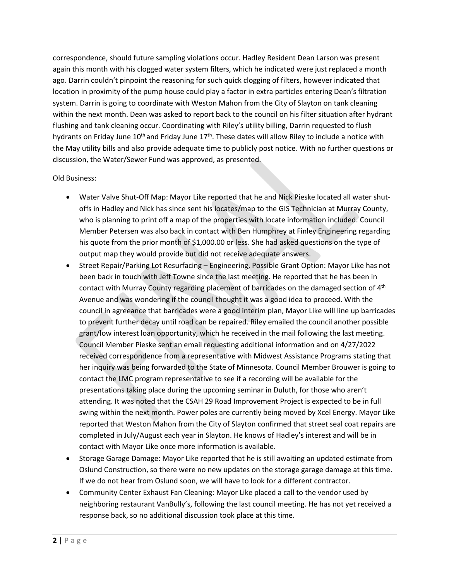correspondence, should future sampling violations occur. Hadley Resident Dean Larson was present again this month with his clogged water system filters, which he indicated were just replaced a month ago. Darrin couldn't pinpoint the reasoning for such quick clogging of filters, however indicated that location in proximity of the pump house could play a factor in extra particles entering Dean's filtration system. Darrin is going to coordinate with Weston Mahon from the City of Slayton on tank cleaning within the next month. Dean was asked to report back to the council on his filter situation after hydrant flushing and tank cleaning occur. Coordinating with Riley's utility billing, Darrin requested to flush hydrants on Friday June 10<sup>th</sup> and Friday June 17<sup>th</sup>. These dates will allow Riley to include a notice with the May utility bills and also provide adequate time to publicly post notice. With no further questions or discussion, the Water/Sewer Fund was approved, as presented.

# Old Business:

- Water Valve Shut-Off Map: Mayor Like reported that he and Nick Pieske located all water shutoffs in Hadley and Nick has since sent his locates/map to the GIS Technician at Murray County, who is planning to print off a map of the properties with locate information included. Council Member Petersen was also back in contact with Ben Humphrey at Finley Engineering regarding his quote from the prior month of \$1,000.00 or less. She had asked questions on the type of output map they would provide but did not receive adequate answers.
- Street Repair/Parking Lot Resurfacing Engineering, Possible Grant Option: Mayor Like has not been back in touch with Jeff Towne since the last meeting. He reported that he has been in contact with Murray County regarding placement of barricades on the damaged section of  $4<sup>th</sup>$ Avenue and was wondering if the council thought it was a good idea to proceed. With the council in agreeance that barricades were a good interim plan, Mayor Like will line up barricades to prevent further decay until road can be repaired. Riley emailed the council another possible grant/low interest loan opportunity, which he received in the mail following the last meeting. Council Member Pieske sent an email requesting additional information and on 4/27/2022 received correspondence from a representative with Midwest Assistance Programs stating that her inquiry was being forwarded to the State of Minnesota. Council Member Brouwer is going to contact the LMC program representative to see if a recording will be available for the presentations taking place during the upcoming seminar in Duluth, for those who aren't attending. It was noted that the CSAH 29 Road Improvement Project is expected to be in full swing within the next month. Power poles are currently being moved by Xcel Energy. Mayor Like reported that Weston Mahon from the City of Slayton confirmed that street seal coat repairs are completed in July/August each year in Slayton. He knows of Hadley's interest and will be in contact with Mayor Like once more information is available.
- Storage Garage Damage: Mayor Like reported that he is still awaiting an updated estimate from Oslund Construction, so there were no new updates on the storage garage damage at this time. If we do not hear from Oslund soon, we will have to look for a different contractor.
- Community Center Exhaust Fan Cleaning: Mayor Like placed a call to the vendor used by neighboring restaurant VanBully's, following the last council meeting. He has not yet received a response back, so no additional discussion took place at this time.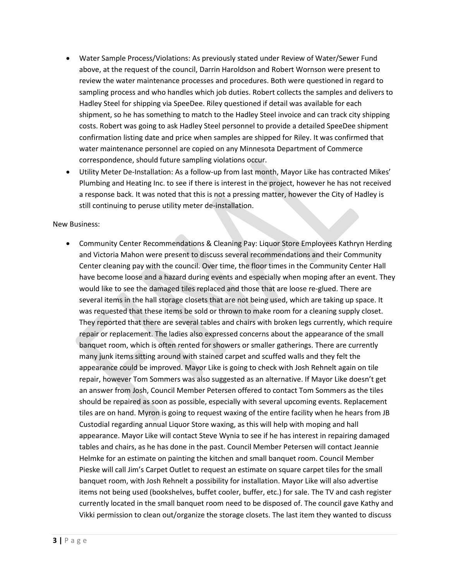- Water Sample Process/Violations: As previously stated under Review of Water/Sewer Fund above, at the request of the council, Darrin Haroldson and Robert Wornson were present to review the water maintenance processes and procedures. Both were questioned in regard to sampling process and who handles which job duties. Robert collects the samples and delivers to Hadley Steel for shipping via SpeeDee. Riley questioned if detail was available for each shipment, so he has something to match to the Hadley Steel invoice and can track city shipping costs. Robert was going to ask Hadley Steel personnel to provide a detailed SpeeDee shipment confirmation listing date and price when samples are shipped for Riley. It was confirmed that water maintenance personnel are copied on any Minnesota Department of Commerce correspondence, should future sampling violations occur.
- Utility Meter De-Installation: As a follow-up from last month, Mayor Like has contracted Mikes' Plumbing and Heating Inc. to see if there is interest in the project, however he has not received a response back. It was noted that this is not a pressing matter, however the City of Hadley is still continuing to peruse utility meter de-installation.

## New Business:

• Community Center Recommendations & Cleaning Pay: Liquor Store Employees Kathryn Herding and Victoria Mahon were present to discuss several recommendations and their Community Center cleaning pay with the council. Over time, the floor times in the Community Center Hall have become loose and a hazard during events and especially when moping after an event. They would like to see the damaged tiles replaced and those that are loose re-glued. There are several items in the hall storage closets that are not being used, which are taking up space. It was requested that these items be sold or thrown to make room for a cleaning supply closet. They reported that there are several tables and chairs with broken legs currently, which require repair or replacement. The ladies also expressed concerns about the appearance of the small banquet room, which is often rented for showers or smaller gatherings. There are currently many junk items sitting around with stained carpet and scuffed walls and they felt the appearance could be improved. Mayor Like is going to check with Josh Rehnelt again on tile repair, however Tom Sommers was also suggested as an alternative. If Mayor Like doesn't get an answer from Josh, Council Member Petersen offered to contact Tom Sommers as the tiles should be repaired as soon as possible, especially with several upcoming events. Replacement tiles are on hand. Myron is going to request waxing of the entire facility when he hears from JB Custodial regarding annual Liquor Store waxing, as this will help with moping and hall appearance. Mayor Like will contact Steve Wynia to see if he has interest in repairing damaged tables and chairs, as he has done in the past. Council Member Petersen will contact Jeannie Helmke for an estimate on painting the kitchen and small banquet room. Council Member Pieske will call Jim's Carpet Outlet to request an estimate on square carpet tiles for the small banquet room, with Josh Rehnelt a possibility for installation. Mayor Like will also advertise items not being used (bookshelves, buffet cooler, buffer, etc.) for sale. The TV and cash register currently located in the small banquet room need to be disposed of. The council gave Kathy and Vikki permission to clean out/organize the storage closets. The last item they wanted to discuss